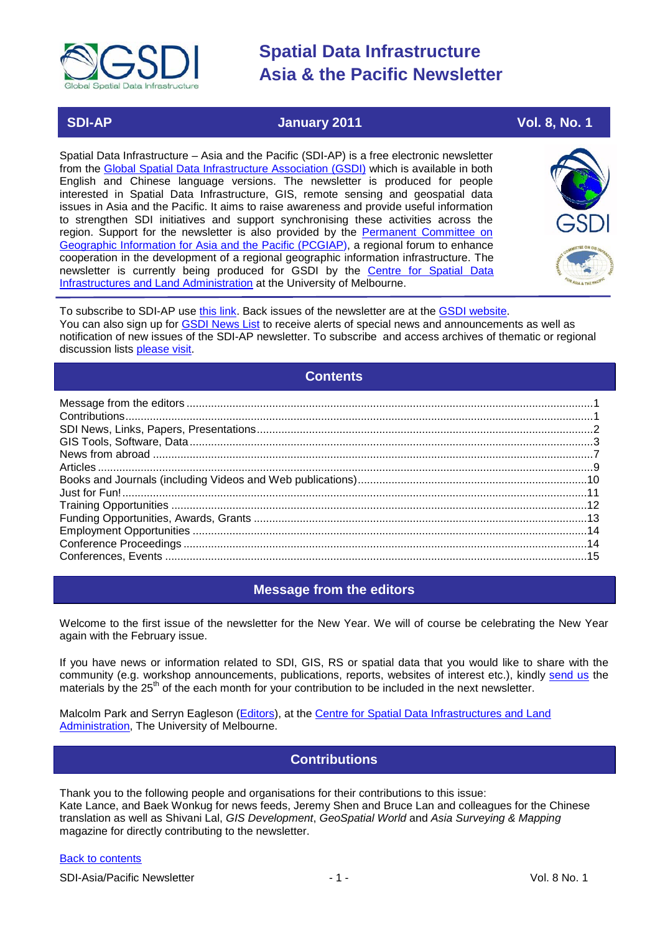

# **SDI-AP January 2011 Vol. 8, No. 1**

Spatial Data Infrastructure – Asia and the Pacific (SDI-AP) is a free electronic newsletter from the [Global Spatial Data Infrastructure Association \(GSDI\)](http://www.gsdi.org/) which is available in both English and Chinese language versions. The newsletter is produced for people interested in Spatial Data Infrastructure, GIS, remote sensing and geospatial data issues in Asia and the Pacific. It aims to raise awareness and provide useful information to strengthen SDI initiatives and support synchronising these activities across the region. Support for the newsletter is also provided by the Permanent Committee on [Geographic Information for Asia and the Pacific \(PCGIAP\)](http://www.pcgiap.org/), a regional forum to enhance cooperation in the development of a regional geographic information infrastructure. The newsletter is currently being produced for GSDI by the [Centre for Spatial Data](http://www.csdila.unimelb.edu.au/)  [Infrastructures and Land Administration](http://www.csdila.unimelb.edu.au/) at the University of Melbourne.



To subscribe to SDI-AP use [this link.](http://www.gsdi.org/newslist/gsdisubscribe.asp) Back issues of the newsletter are at the [GSDI website.](http://www.gsdi.org/newsletters.asp) You can also sign up for **GSDI News List** to receive alerts of special news and announcements as well as notification of new issues of the SDI-AP newsletter. To subscribe and access archives of thematic or regional discussion lists [please visit.](http://www.gsdi.org/discussionlists.asp)

# **Contents**

<span id="page-0-0"></span>

# **Message from the editors**

<span id="page-0-1"></span>Welcome to the first issue of the newsletter for the New Year. We will of course be celebrating the New Year again with the February issue.

If you have news or information related to SDI, GIS, RS or spatial data that you would like to share with the community (e.g. workshop announcements, publications, reports, websites of interest etc.), kindly [send us](mailto:.SDI-AP@gsdi.org) the materials by the 25<sup>th</sup> of the each month for your contribution to be included in the next newsletter.

<span id="page-0-2"></span>Malcolm Park and Serryn Eagleson [\(Editors\)](mailto:Editor.SDIAP@gmail.com), at the [Centre for Spatial Data Infrastructures and Land](http://www.csdila.unimelb.edu.au/)  [Administration,](http://www.csdila.unimelb.edu.au/) The University of Melbourne.

# **Contributions**

Thank you to the following people and organisations for their contributions to this issue: Kate Lance, and Baek Wonkug for news feeds, Jeremy Shen and Bruce Lan and colleagues for the Chinese translation as well as Shivani Lal, *GIS Development*, *GeoSpatial World* and *Asia Surveying & Mapping* magazine for directly contributing to the newsletter.

## [Back to contents](#page-0-0)

SDI-Asia/Pacific Newsletter  $\overline{1}$  - 1 -  $\overline{2}$  - 1 -  $\overline{2}$  Vol. 8 No. 1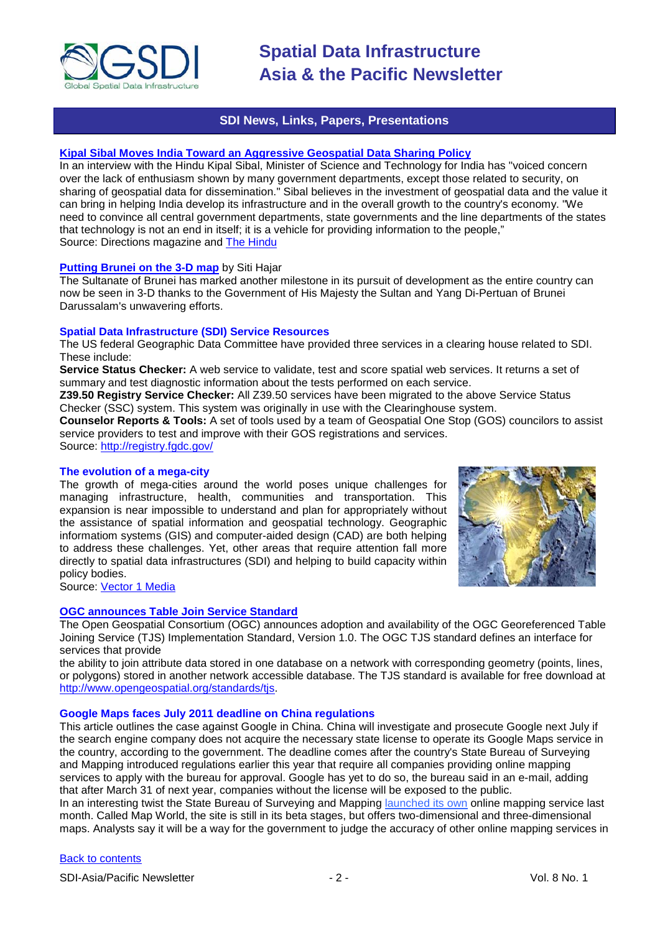

# **SDI News, Links, Papers, Presentations**

### <span id="page-1-0"></span>**[Kipal Sibal Moves India Toward an Aggressive Geospatial Data Sharing Policy](http://apb.directionsmag.com/archives/9166-Kipal-Sibal-Moves-India-Toward-an-Aggressive-Geospatial-Data-Sharing-Policy.html)**

In an interview with the Hindu Kipal Sibal, Minister of Science and Technology for India has "voiced concern over the lack of enthusiasm shown by many government departments, except those related to security, on sharing of geospatial data for dissemination." Sibal believes in the investment of geospatial data and the value it can bring in helping India develop its infrastructure and in the overall growth to the country's economy. "We need to convince all central government departments, state governments and the line departments of the states that technology is not an end in itself; it is a vehicle for providing information to the people," Source: Directions magazine and [The Hindu](http://www.thehindu.com/sci-tech/science/article972013.ece)

### **[Putting Brunei on the 3-D map](http://www.borneobulletin.com.bn/wed/dec22h1.htm)** by Siti Hajar

The Sultanate of Brunei has marked another milestone in its pursuit of development as the entire country can now be seen in 3-D thanks to the Government of His Majesty the Sultan and Yang Di-Pertuan of Brunei Darussalam's unwavering efforts.

# **Spatial Data Infrastructure (SDI) Service Resources**

The US federal Geographic Data Committee have provided three services in a clearing house related to SDI. These include:

**Service Status Checker:** A web service to validate, test and score spatial web services. It returns a set of summary and test diagnostic information about the tests performed on each service.

**Z39.50 Registry Service Checker:** All Z39.50 services have been migrated to the above Service Status Checker (SSC) system. This system was originally in use with the Clearinghouse system.

**Counselor Reports & Tools:** A set of tools used by a team of Geospatial One Stop (GOS) councilors to assist service providers to test and improve with their GOS registrations and services.

Source:<http://registry.fgdc.gov/>

## **The evolution of a mega-city**

The growth of mega-cities around the world poses unique challenges for managing infrastructure, health, communities and transportation. This expansion is near impossible to understand and plan for appropriately without the assistance of spatial information and geospatial technology. Geographic informatiom systems (GIS) and computer-aided design (CAD) are both helping to address these challenges. Yet, other areas that require attention fall more directly to spatial data infrastructures (SDI) and helping to build capacity within policy bodies.



Source: [Vector 1 Media](http://www.vector1media.com/)

# **[OGC announces Table Join Service Standard](http://www.vector1media.com/news/top-stories/53-corporate-news/17353-ogc-announces-table-join-service-standard)**

The Open Geospatial Consortium (OGC) announces adoption and availability of the OGC Georeferenced Table Joining Service (TJS) Implementation Standard, Version 1.0. The OGC TJS standard defines an interface for services that provide

the ability to join attribute data stored in one database on a network with corresponding geometry (points, lines, or polygons) stored in another network accessible database. The TJS standard is available for free download at [http://www.opengeospatial.org/standards/tjs.](http://www.opengeospatial.org/standards/tjs)

#### **Google Maps faces July 2011 deadline on China regulations**

This article outlines the case against Google in China. China will investigate and prosecute Google next July if the search engine company does not acquire the necessary state license to operate its Google Maps service in the country, according to the government. The deadline comes after the country's State Bureau of Surveying and Mapping introduced regulations earlier this year that require all companies providing online mapping services to apply with the bureau for approval. Google has yet to do so, the bureau said in an e-mail, adding that after March 31 of next year, companies without the license will be exposed to the public. In an interesting twist the State Bureau of Surveying and Mapping [launched its own](http://www.pcworld.com/businesscenter/article/208519/china_sets_mapping_benchmark_with_new_site.html) online mapping service last

month. Called Map World, the site is still in its beta stages, but offers two-dimensional and three-dimensional maps. Analysts say it will be a way for the government to judge the accuracy of other online mapping services in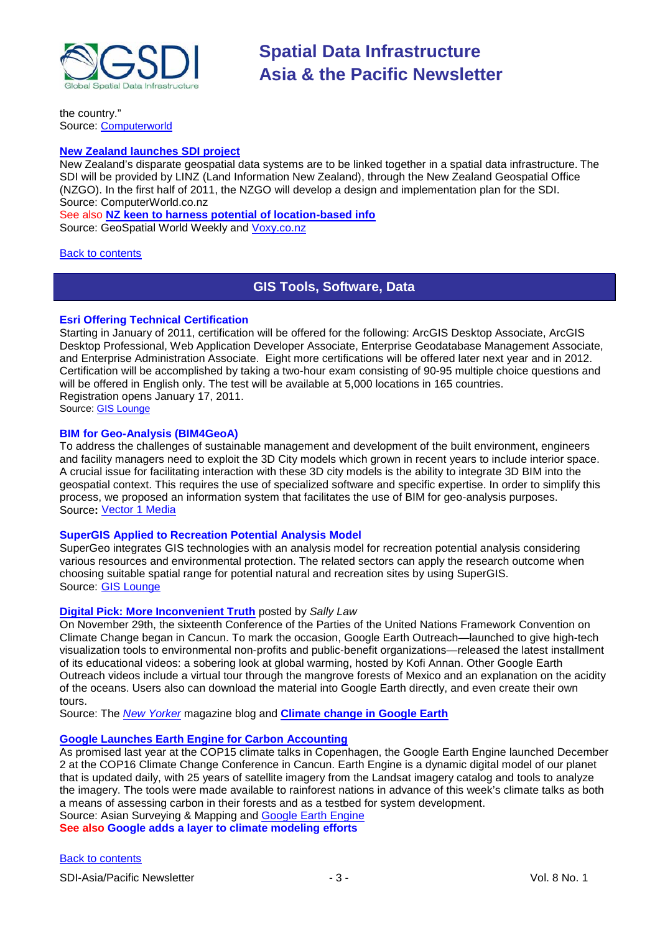

the country." Source: [Computerworld](http://www.computerworld.com/s/article/9198218/Google_Maps_faces_July_2011_deadline_on_China_regulations)

# **[New Zealand launches SDI project](http://computerworld.co.nz/news.nsf/news/spatial-data-infrastructure-project-launched)**

New Zealand's disparate geospatial data systems are to be linked together in a spatial data infrastructure. The SDI will be provided by LINZ (Land Information New Zealand), through the New Zealand Geospatial Office (NZGO). In the first half of 2011, the NZGO will develop a design and implementation plan for the SDI. Source: ComputerWorld.co.nz

See also **[NZ keen to harness potential of location-based info](http://www.geospatialworld.net/index.php?option=com_content&view=article&id=21127%3Anz-keen-to-harness-potential-of-location-based-info&catid=78%3Amiscellaneous-policy&Itemid=1)** Source: GeoSpatial World Weekly and [Voxy.co.nz](http://www.voxy.co.nz/politics/williamson-government-recognises-importance-location-based-information/5/75899)

### <span id="page-2-0"></span>[Back to contents](#page-0-0)

# **GIS Tools, Software, Data**

## **Esri Offering Technical Certification**

Starting in January of 2011, certification will be offered for the following: ArcGIS Desktop Associate, ArcGIS Desktop Professional, Web Application Developer Associate, Enterprise Geodatabase Management Associate, and Enterprise Administration Associate. Eight more certifications will be offered later next year and in 2012. Certification will be accomplished by taking a two-hour exam consisting of 90-95 multiple choice questions and will be offered in English only. The test will be available at 5,000 locations in 165 countries. Registration opens January 17, 2011.

Source: [GIS Lounge](http://gislounge.com/esri-offering-certification/)

## **BIM for Geo-Analysis (BIM4GeoA)**

To address the challenges of sustainable management and development of the built environment, engineers and facility managers need to exploit the 3D City models which grown in recent years to include interior space. A crucial issue for facilitating interaction with these 3D city models is the ability to integrate 3D BIM into the geospatial context. This requires the use of specialized software and specific expertise. In order to simplify this process, we proposed an information system that facilitates the use of BIM for geo-analysis purposes. Source**:** [Vector 1 Media](http://www.vector1media.com/articles/features/16733-bim-for-geo-analysis-bim4geoa)

### **SuperGIS Applied to Recreation Potential Analysis Model**

SuperGeo integrates GIS technologies with an analysis model for recreation potential analysis considering various resources and environmental protection. The related sectors can apply the research outcome when choosing suitable spatial range for potential natural and recreation sites by using SuperGIS. Source: [GIS Lounge](http://news.gislounge.com/2010/12/supergis-applied-to-recreation-potential-analysis-model/)

### **[Digital Pick: More Inconvenient Truth](http://www.newyorker.com/online/blogs/goingson/quick-pick/)** posted by *Sally Law*

On November 29th, the sixteenth Conference of the Parties of the United Nations Framework Convention on Climate Change began in Cancun. To mark the occasion, Google Earth Outreach—launched to give high-tech visualization tools to environmental non-profits and public-benefit organizations—released the latest installment of its educational videos: a [sobering look](http://www.google.com/landing/cop16/climatetours.html) at global warming, hosted by Kofi Annan. Other Google Earth Outreach videos include a virtual tour through the mangrove forests of Mexico and an explanation on the acidity of the oceans. Users also can download the material into Google Earth directly, and even create their own tours.

Source: The *[New Yorker](http://www.newyorker.com/)* magazine blog and **[Climate change in Google Earth](http://www.google.com/landing/cop16/climatetours.html)**

### **[Google Launches Earth Engine for Carbon Accounting](http://asmmag.com/features/google-launches-earth-engine-for-carbon-accounting)**

As promised last year at the COP15 climate talks in Copenhagen, the Google Earth Engine launched December 2 at the COP16 Climate Change Conference in Cancun. Earth Engine is a dynamic digital model of our planet that is updated daily, with 25 years of satellite imagery from the Landsat imagery catalog and tools to analyze the imagery. The tools were made available to rainforest nations in advance of this week's climate talks as both a means of assessing carbon in their forests and as a testbed for system development. Source: Asian Surveying & Mapping and [Google Earth Engine](http://www.google.org/earthengine/)

**See also Google adds a layer to climate modeling efforts**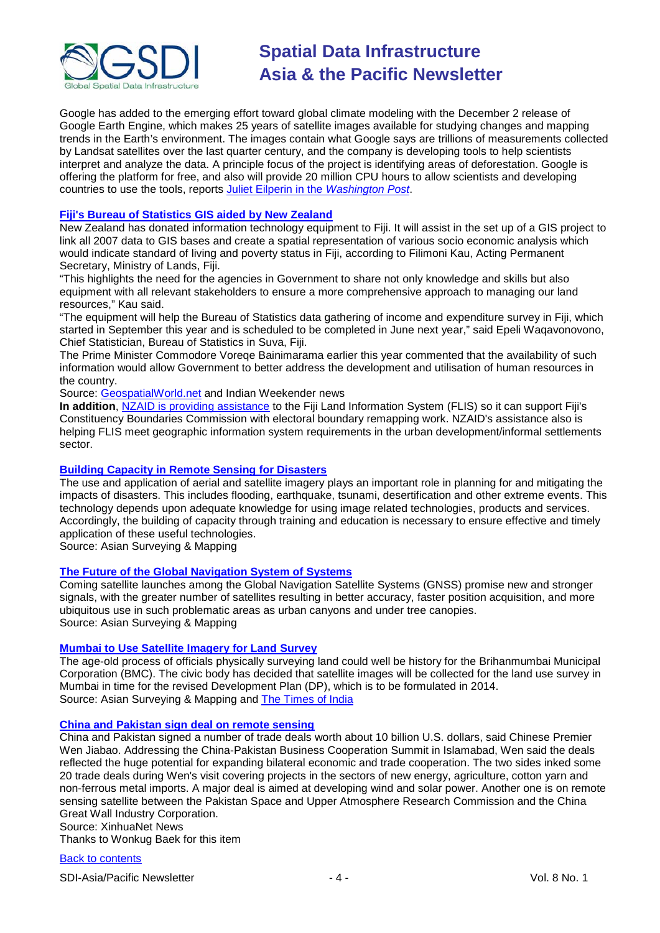

Google has added to the emerging effort toward global climate modeling with the December 2 release of Google Earth Engine, which makes 25 years of satellite images available for studying changes and mapping trends in the Earth's environment. The images contain what Google says are trillions of measurements collected by Landsat satellites over the last quarter century, and the company is developing tools to help scientists interpret and analyze the data. A principle focus of the project is identifying areas of deforestation. Google is offering the platform for free, and also will provide 20 million CPU hours to allow scientists and developing countries to use the tools, reports [Juliet Eilperin in the](http://voices.washingtonpost.com/post-carbon/2010/12/google_earth_engine_debuts.html) *Washington Post*.

# **[Fiji's Bureau of Statistics GIS aided by New Zealand](http://www.indianweekender.co.nz/Pages/ArticleDetails/14/1830/Fiji/NZ-equipment-for-Fiji-stats-office)**

New Zealand has donated information technology equipment to Fiji. It will assist in the set up of a GIS project to link all 2007 data to GIS bases and create a spatial representation of various socio economic analysis which would indicate standard of living and poverty status in Fiji, according to Filimoni Kau, Acting Permanent Secretary, Ministry of Lands, Fiji.

"This highlights the need for the agencies in Government to share not only knowledge and skills but also equipment with all relevant stakeholders to ensure a more comprehensive approach to managing our land resources," Kau said.

"The equipment will help the Bureau of Statistics data gathering of income and expenditure survey in Fiji, which started in September this year and is scheduled to be completed in June next year," said Epeli Waqavonovono, Chief Statistician, Bureau of Statistics in Suva, Fiji.

The Prime Minister Commodore Voreqe Bainimarama earlier this year commented that the availability of such information would allow Government to better address the development and utilisation of human resources in the country.

Source: [GeospatialWorld.net](http://geospatialworld.net/index.php?option=com_content&view=article&id=20890:gis-aid-for-fiji-stats-bureau-from-new-zealand&catid=66&Itemid=1) and Indian Weekender news

**In addition**, [NZAID is providing assistance](http://www.aid.govt.nz/programmes/c-fiji.html) to the Fiji Land Information System (FLIS) so it can support Fiji's Constituency Boundaries Commission with electoral boundary remapping work. NZAID's assistance also is helping FLIS meet geographic information system requirements in the urban development/informal settlements sector.

### **[Building Capacity in Remote Sensing for Disasters](http://www.asmmag.com/features/feature/building-capacity-in-remote-sensing-for-disasters-1612263)**

The use and application of aerial and satellite imagery plays an important role in planning for and mitigating the impacts of disasters. This includes flooding, earthquake, tsunami, desertification and other extreme events. This technology depends upon adequate knowledge for using image related technologies, products and services. Accordingly, the building of capacity through training and education is necessary to ensure effective and timely application of these useful technologies.

Source: Asian Surveying & Mapping

### **[The Future of the Global Navigation System of Systems](http://www.asmmag.com/features/feature/the-future-of-the-global-navigation-system-of-systems-1012210)**

Coming satellite launches among the Global Navigation Satellite Systems (GNSS) promise new and stronger signals, with the greater number of satellites resulting in better accuracy, faster position acquisition, and more ubiquitous use in such problematic areas as urban canyons and under tree canopies. Source: Asian Surveying & Mapping

# **[Mumbai to Use Satellite Imagery for Land Survey](http://www.asmmag.com/news/headlines/mumbai-to-use-satellite-imagery-for-land-survey-1612261)**

The age-old process of officials physically surveying land could well be history for the Brihanmumbai Municipal Corporation (BMC). The civic body has decided that satellite images will be collected for the land use survey in Mumbai in time for the revised Development Plan (DP), which is to be formulated in 2014. Source: Asian Surveying & Mapping and [The Times of India](http://timesofindia.indiatimes.com/city/mumbai/Civic-body-to-use-satellite-imagery-for-land-survey/articleshow/7109398.cms)

### **[China and Pakistan sign deal on remote sensing](http://news.xinhuanet.com/english2010/china/2010-12/19/c_13655081.htm)**

China and Pakistan signed a number of trade deals worth about 10 billion U.S. dollars, said Chinese Premier Wen Jiabao. Addressing the China-Pakistan Business Cooperation Summit in Islamabad, Wen said the deals reflected the huge potential for expanding bilateral economic and trade cooperation. The two sides inked some 20 trade deals during Wen's visit covering projects in the sectors of new energy, agriculture, cotton yarn and non-ferrous metal imports. A major deal is aimed at developing wind and solar power. Another one is on remote sensing satellite between the Pakistan Space and Upper Atmosphere Research Commission and the China Great Wall Industry Corporation.

### Source: XinhuaNet News

Thanks to Wonkug Baek for this item

[Back to contents](#page-0-0)

SDI-Asia/Pacific Newsletter  $\overline{a}$  - 4 -  $\overline{a}$  -  $\overline{a}$  -  $\overline{a}$  Vol. 8 No. 1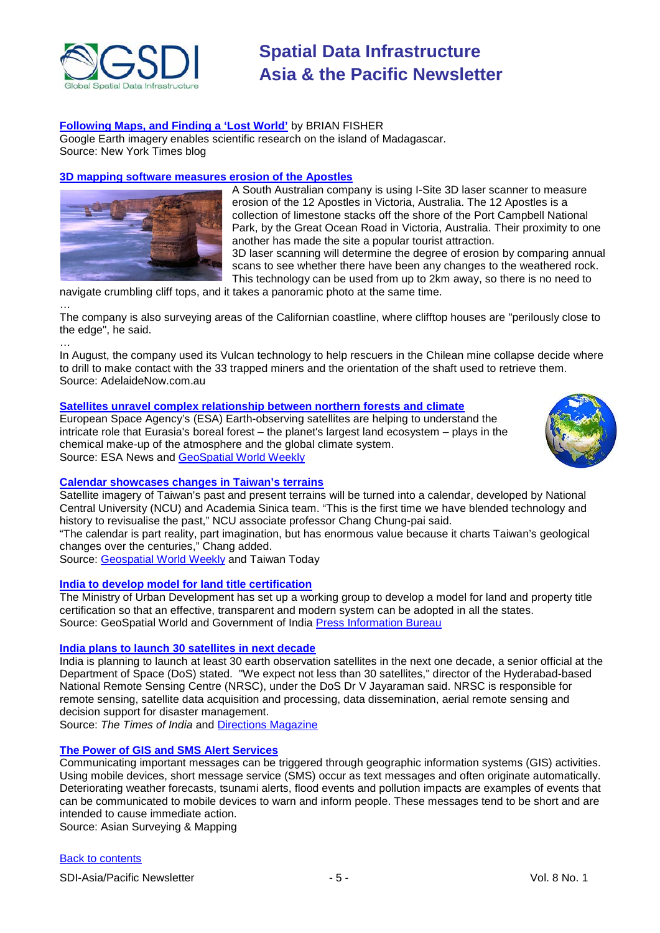

# **[Following Maps, and Finding a 'Lost World'](http://scientistatwork.blogs.nytimes.com/2010/12/17/following-maps-and-finding-a-lost-world/?hpw)** by [BRIAN FISHER](http://scientistatwork.blogs.nytimes.com/author/brian-fisher/)

Google Earth imagery enables scientific research on the island of Madagascar. Source: New York Times blog

# **[3D mapping software measures erosion of the Apostles](http://www.adelaidenow.com.au/news/south-australia/sa-tralblazers-keep-check-on-site/story-e6frea83-1225973592808)**



A South Australian company is using I-Site 3D laser scanner to measure erosion of the 12 Apostles in Victoria, Australia. The 12 Apostles is a collection of limestone stacks off the shore of the Port Campbell National Park, by the Great Ocean Road in Victoria, Australia. Their proximity to one another has made the site a popular tourist attraction. 3D laser scanning will determine the degree of erosion by comparing annual scans to see whether there have been any changes to the weathered rock. This technology can be used from up to 2km away, so there is no need to

navigate crumbling cliff tops, and it takes a panoramic photo at the same time.

… The company is also surveying areas of the Californian coastline, where clifftop houses are "perilously close to the edge", he said.

…

In August, the company used its Vulcan technology to help rescuers in the Chilean mine collapse decide where to drill to make contact with the 33 trapped miners and the orientation of the shaft used to retrieve them. Source: AdelaideNow.com.au

## **[Satellites unravel complex relationship between northern forests and climate](http://www.esa.int/esaEO/SEM1MGRRJHG_index_0.html)**

European Space Agency's (ESA) Earth-observing satellites are helping to understand the intricate role that Eurasia's boreal forest – the planet's largest land ecosystem – plays in the chemical make-up of the atmosphere and the global climate system. Source: ESA News and [GeoSpatial World Weekly](http://www.geospatialworld.net/index.php?option=com_content&view=article&id=21150%3Aesa-to-explore-boreal-forests-role-in-greenhouse-gas&catid=64%3Aapplication-environment&Itemid=1)



# **[Calendar showcases changes in Taiwan's terrains](http://www.taiwantoday.tw/ct.asp?xItem=136268&ctNode=445)**

Satellite imagery of Taiwan's past and present terrains will be turned into a calendar, developed by National Central University (NCU) and Academia Sinica team. "This is the first time we have blended technology and history to revisualise the past," NCU associate professor Chang Chung-pai said.

"The calendar is part reality, part imagination, but has enormous value because it charts Taiwan's geological changes over the centuries," Chang added.

Source: <u>Geospatial World Weekly</u> and Taiwan Today

## **[India to develop model for land title certification](http://www.geospatialworld.net/index.php?option=com_content&view=article&id=19604%3Aindia-to-develop-model-for-land-title-certification&catid=58%3Aapplication-lis&Itemid=1)**

The Ministry of Urban Development has set up a working group to develop a model for land and property title certification so that an effective, transparent and modern system can be adopted in all the states. Source: GeoSpatial World and Government of India [Press Information Bureau](http://pib.nic.in/release/release.asp?relid=67698)

### **[India plans to launch 30 satellites in next decade](http://economictimes.indiatimes.com/news/politics/nation/india-plans-to-launch-30-satellites-in-next-decade/articleshow/7178124.cms)**

India is planning to launch at least 30 earth observation satellites in the next one decade, a senior official at the Department of Space (DoS) stated. "We expect not less than 30 satellites," director of the Hyderabad-based National Remote Sensing Centre (NRSC), under the DoS Dr V Jayaraman said. NRSC is responsible for remote sensing, satellite data acquisition and processing, data dissemination, aerial remote sensing and decision support for disaster management.

Source: *The Times of India* and [Directions Magazine](http://apb.directionsmag.com/archives/9177-India-Plans-30-Satellites-for-Launch-in-Next-10-Years.html)

# **The Power of GIS [and SMS Alert Services](http://www.asmmag.com/features/feature/the-power-of-gis-and-sms-alert-services-2312323)**

Communicating important messages can be triggered through geographic information systems (GIS) activities. Using mobile devices, short message service (SMS) occur as text messages and often originate automatically. Deteriorating weather forecasts, tsunami alerts, flood events and pollution impacts are examples of events that can be communicated to mobile devices to warn and inform people. These messages tend to be short and are intended to cause immediate action.

Source: Asian Surveying & Mapping

### [Back to contents](#page-0-0)

SDI-Asia/Pacific Newsletter  $\overline{\phantom{0}}$  - 5 -  $\overline{\phantom{0}}$  - Vol. 8 No. 1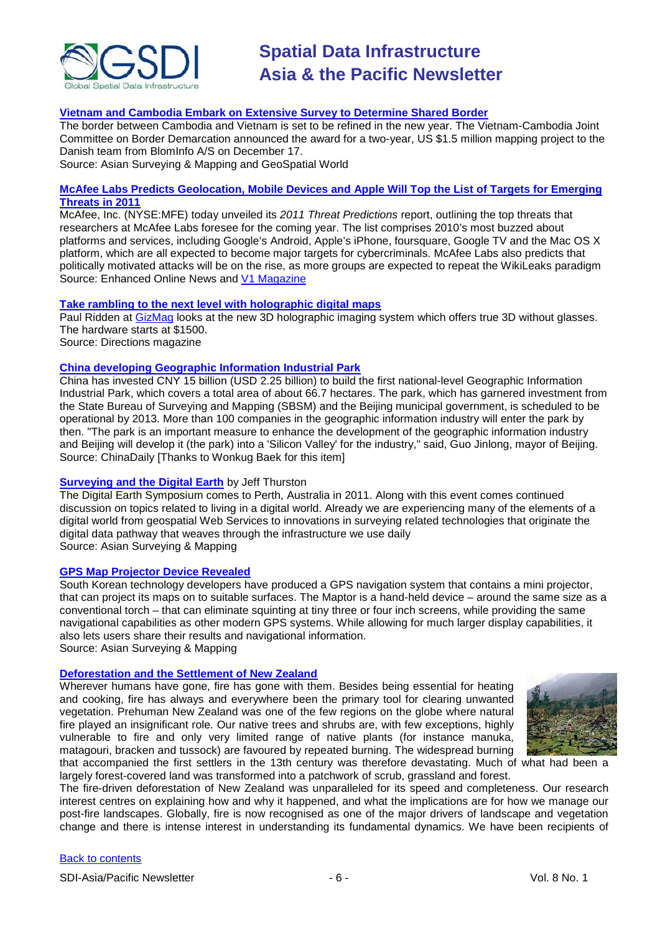

# **[Vietnam and Cambodia Embark on Extensive Survey to Determine Shared Border](http://www.asmmag.com/features/feature/vietnam-and-cambodia-embark-on-extensive-survey-to-determine-shared-border-2212322)**

The border between Cambodia and Vietnam is set to be refined in the new year. The Vietnam-Cambodia Joint Committee on Border Demarcation announced the award for a two-year, US \$1.5 million mapping project to the Danish team from BlomInfo A/S on December 17. Source: Asian Surveying & Mapping and GeoSpatial World

**[McAfee Labs Predicts Geolocation, Mobile Devices and Apple Will Top the List of Targets for Emerging](http://eon.businesswire.com/news/eon/20101228005010/en/McAfee-Labs-Predicts-Geolocation-Mobile-Devices-Apple)  [Threats in 2011](http://eon.businesswire.com/news/eon/20101228005010/en/McAfee-Labs-Predicts-Geolocation-Mobile-Devices-Apple)**

McAfee, Inc. (NYSE:MFE) today unveiled its *2011 Threat Predictions* report, outlining the top threats that researchers at McAfee Labs foresee for the coming year. The list comprises 2010's most buzzed about platforms and services, including Google's Android, Apple's iPhone, foursquare, Google TV and the Mac OS X platform, which are all expected to become major targets for cybercriminals. McAfee Labs also predicts that politically motivated attacks will be on the rise, as more groups are expected to repeat the WikiLeaks paradigm Source: Enhanced Online News and [V1 Magazine](http://www.vector1media.com/top-stories/corporate-news/mcafee-labs-predicts-geolocation-will-top-the-list-of-targets-for-emerging-threats-in-2011-281217634)

### **[Take rambling to the next level with holographic digital maps](http://www.directionsmag.com/worthaclick/entry/take-rambling-to-the-next-level-with-holographic-digital-maps/147204)**

Paul Ridden at [GizMag](http://www.gizmag.com/zebra-imaging-zscape-3d-holographic-prints/17280/) looks at the new 3D holographic imaging system which offers true 3D without glasses. The hardware starts at \$1500. Source: Directions magazine

### **[China developing Geographic Information Industrial Park](http://www.chinadaily.com.cn/usa/2010-11/30/content_11629829.htm)**

China has invested CNY 15 billion (USD 2.25 billion) to build the first national-level Geographic Information Industrial Park, which covers a total area of about 66.7 hectares. The park, which has garnered investment from the State Bureau of Surveying and Mapping (SBSM) and the Beijing municipal government, is scheduled to be operational by 2013. More than 100 companies in the geographic information industry will enter the park by then. "The park is an important measure to enhance the development of the geographic information industry and Beijing will develop it (the park) into a 'Silicon Valley' for the industry," said, Guo Jinlong, mayor of Beijing. Source: ChinaDaily [Thanks to Wonkug Baek for this item]

### **[Surveying and the Digital Earth](http://www.asmmag.com/features/feature/surveying-and-the-digital-earth-3112362)** by Jeff Thurston

The Digital Earth Symposium comes to Perth, Australia in 2011. Along with this event comes continued discussion on topics related to living in a digital world. Already we are experiencing many of the elements of a digital world from geospatial Web Services to innovations in surveying related technologies that originate the digital data pathway that weaves through the infrastructure we use daily Source: Asian Surveying & Mapping

#### **[GPS Map Projector Device Revealed](http://www.asmmag.com/products/hardware/gps-map-projector-device-revealed-3012360)**

South Korean technology developers have produced a GPS navigation system that contains a mini projector, that can project its maps on to suitable surfaces. The Maptor is a hand-held device – around the same size as a conventional torch – that can eliminate squinting at tiny three or four inch screens, while providing the same navigational capabilities as other modern GPS systems. While allowing for much larger display capabilities, it also lets users share their results and navigational information. Source: Asian Surveying & Mapping

#### **[Deforestation and the Settlement of New Zealand](http://www.landcareresearch.co.nz/research/research_details.asp?Research_Content_ID=48)**

Wherever humans have gone, fire has gone with them. Besides being essential for heating and cooking, fire has always and everywhere been the primary tool for clearing unwanted vegetation. Prehuman New Zealand was one of the few regions on the globe where natural fire played an insignificant role. Our native trees and shrubs are, with few exceptions, highly vulnerable to fire and only very limited range of native plants (for instance manuka, matagouri, bracken and tussock) are favoured by repeated burning. The widespread burning



that accompanied the first settlers in the 13th century was therefore devastating. Much of what had been a largely forest-covered land was transformed into a patchwork of scrub, grassland and forest.

The fire-driven deforestation of New Zealand was unparalleled for its speed and completeness. Our research interest centres on explaining how and why it happened, and what the implications are for how we manage our post-fire landscapes. Globally, fire is now recognised as one of the major drivers of landscape and vegetation change and there is intense interest in understanding its fundamental dynamics. We have been recipients of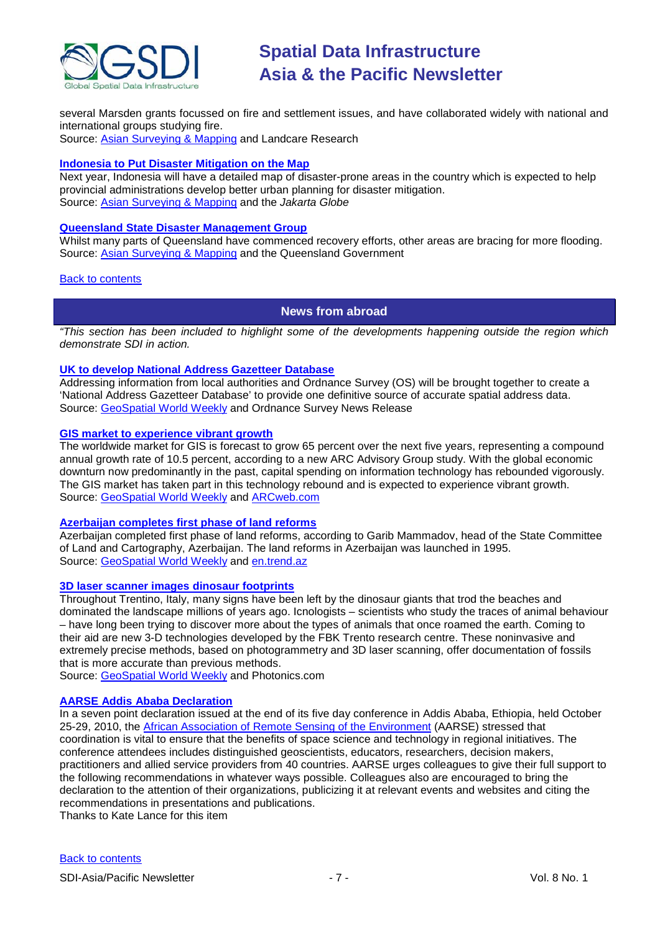

several Marsden grants focussed on fire and settlement issues, and have collaborated widely with national and international groups studying fire.

Source: [Asian Surveying & Mapping](http://www.asmmag.com/news/headlines/deforestation-and-the-settlement-of-new-zealand-3012355) and Landcare Research

### **[Indonesia to Put Disaster Mitigation on the Map](http://www.thejakartaglobe.com/indonesia/2010-review-devastating-floods-a-tsunami-volcanic-eruptions/414029)**

Next year, Indonesia will have a detailed map of disaster-prone areas in the country which is expected to help provincial administrations develop better urban planning for disaster mitigation. Source: [Asian Surveying & Mapping](http://www.asmmag.com/news/headlines/indonesia-to-put-disaster-mitigation-on-the-map-3112364) and the *Jakarta Globe*

# **[Queensland State Disaster Management Group](http://www.disaster.qld.gov.au/news/default.asp)**

Whilst many parts of Queensland have commenced recovery efforts, other areas are bracing for more flooding. Source: [Asian Surveying & Mapping](http://www.asmmag.com/news/headlines/queensland-state-disaster-management-group-3012361) and the Queensland Government

### <span id="page-6-0"></span>[Back to contents](#page-0-0)

# **News from abroad**

*"This section has been included to highlight some of the developments happening outside the region which demonstrate SDI in action.*

## **[UK to develop National Address Gazetteer Database](http://www.ordnancesurvey.co.uk/oswebsite/media/news/2010/dec/nationaladdressing.html)**

Addressing information from local authorities and Ordnance Survey (OS) will be brought together to create a 'National Address Gazetteer Database' to provide one definitive source of accurate spatial address data. Source: [GeoSpatial World Weekly](http://www.geospatialworld.net/index.php?option=com_content&view=article&id=20513%3Auk-to-develop-national-address-gazetteer-database&catid=49%3Aproduct-data&Itemid=1) and Ordnance Survey News Release

# **[GIS market to experience vibrant growth](http://www.arcweb.com/Research/Studies/Pages/Geospatial-Info-Systems.aspx)**

The worldwide market for GIS is forecast to grow 65 percent over the next five years, representing a compound annual growth rate of 10.5 percent, according to a new ARC Advisory Group study. With the global economic downturn now predominantly in the past, capital spending on information technology has rebounded vigorously. The GIS market has taken part in this technology rebound and is expected to experience vibrant growth. Source: [GeoSpatial World Weekly](http://www.geospatialworld.net/index.php?option=com_content&view=article&id=20511%3Agis-market-to-experience-vibrant-growth-study&catid=72%3Abusiness-market-survey-research&Itemid=1) and [ARCweb.com](http://www.arcweb.com/AboutARC/Press/Lists/Posts/Post.aspx?List=fe0aa6f8-048a-418e-8197-2ed598e42370&ID=165&RootFolder=%2FAboutARC%2FPress%2FLists%2FPosts)

# **[Azerbaijan completes first phase of land reforms](http://en.trend.az/capital/business/1791975.html)**

Azerbaijan completed first phase of land reforms, according to Garib Mammadov, head of the State Committee of Land and Cartography, Azerbaijan. The land reforms in Azerbaijan was launched in 1995. Source: [GeoSpatial World Weekly](http://www.geospatialworld.net/index.php?option=com_content&view=article&id=20258%3Aazerbaijan-completes-first-stage-of-land-reform&catid=47%3Aproduct-surveying-mapping&Itemid=1) and [en.trend.az](http://en.trend.az/)

### **[3D laser scanner images dinosaur footprints](http://www.photonics.com/Article.aspx?AID=45150)**

Throughout Trentino, Italy, many signs have been left by the dinosaur giants that trod the beaches and dominated the landscape millions of years ago. Icnologists – scientists who study the traces of animal behaviour – have long been trying to discover more about the types of animals that once roamed the earth. Coming to their aid are new 3-D technologies developed by the FBK Trento research centre. These noninvasive and extremely precise methods, based on photogrammetry and 3D laser scanning, offer documentation of fossils that is more accurate than previous methods.

Source: [GeoSpatial World Weekly](http://www.geospatialworld.net/index.php?option=com_content&view=article&id=20268%3A3d-laser-scanner-images-dinosaur-footprints&catid=66%3Aapplication-miscellaneous&Itemid=1) and Photonics.com

### **[AARSE Addis Ababa Declaration](http://www.servir.net/africa/index.php?option=com_mamblog&Itemid=54&task=show&action=view&id=950&Itemid=54)**

In a seven point declaration issued at the end of its five day conference in Addis Ababa, Ethiopia, held October 25-29, 2010, the [African Association of Remote Sensing of the Environment](http://www.itc.nl/aarse/) (AARSE) stressed that coordination is vital to ensure that the benefits of space science and technology in regional initiatives. The conference attendees includes distinguished geoscientists, educators, researchers, decision makers, practitioners and allied service providers from 40 countries. AARSE urges colleagues to give their full support to the following recommendations in whatever ways possible. Colleagues also are encouraged to bring the declaration to the attention of their organizations, publicizing it at relevant events and websites and citing the recommendations in presentations and publications.

Thanks to Kate Lance for this item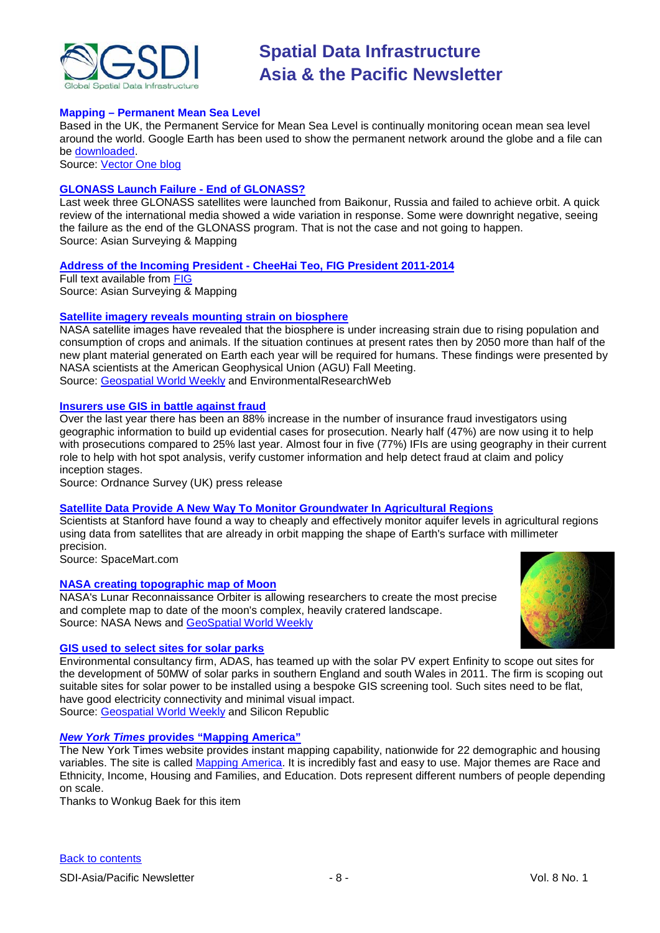

## **Mapping – Permanent Mean Sea Level**

Based in the UK, the Permanent Service for Mean Sea Level is continually monitoring ocean mean sea level around the world. Google Earth has been used to show the permanent network around the globe and a file can be [downloaded.](http://www.psmsl.org/)

Source: [Vector One blog](http://www.vector1media.com/vectorone/?p=6965)

### **[GLONASS Launch Failure -](http://www.asmmag.com/features/feature/glonass-launch-failure-end-of-glonass-1712265) End of GLONASS?**

Last week three GLONASS satellites were launched from Baikonur, Russia and failed to achieve orbit. A quick review of the international media showed a wide variation in response. Some were downright negative, seeing the failure as the end of the GLONASS program. That is not the case and not going to happen. Source: Asian Surveying & Mapping

## **Address of the Incoming President - [CheeHai Teo, FIG President 2011-2014](http://www.asmmag.com/news/headlines/address-of-the-incoming-president-cheehai-teo-fig-president-2011-2014-1812270)**

Full text available from [FIG](http://www.fig.net/council/teo_papers/2010/handover_address_nov_2010.pdf) Source: Asian Surveying & Mapping

## **[Satellite imagery reveals mounting strain on biosphere](http://environmentalresearchweb.org/cws/article/news/44582)**

NASA satellite images have revealed that the biosphere is under increasing strain due to rising population and consumption of crops and animals. If the situation continues at present rates then by 2050 more than half of the new plant material generated on Earth each year will be required for humans. These findings were presented by NASA scientists at the American Geophysical Union (AGU) Fall Meeting. Source: [Geospatial World Weekly](http://www.geospatialworld.net/index.php?option=com_content&view=article&id=21135%3Asatellite-imagery-reveals-mounting-strain-on-biosphere&catid=52%3Aapplication-natural-resource-management&Itemid=1) and EnvironmentalResearchWeb

### **[Insurers use GIS in battle against fraud](http://www.ordnancesurvey.co.uk/oswebsite/media/news/2010/dec/insurancefraud.html)**

Over the last year there has been an 88% increase in the number of insurance fraud investigators using geographic information to build up evidential cases for prosecution. Nearly half (47%) are now using it to help with prosecutions compared to 25% last year. Almost four in five (77%) IFIs are using geography in their current role to help with hot spot analysis, verify customer information and help detect fraud at claim and policy inception stages.

Source: Ordnance Survey (UK) press release

# **[Satellite Data Provide A New Way To Monitor Groundwater In Agricultural Regions](http://www.spacemart.com/reports/Satellite_Data_Provide_A_New_Way_To_Monitor_Groundwater_In_Agricultural_Regions_999.html)**

Scientists at Stanford have found a way to cheaply and effectively monitor aquifer levels in agricultural regions using data from satellites that are already in orbit mapping the shape of Earth's surface with millimeter precision.

Source: SpaceMart.com

### **[NASA creating topographic map of Moon](http://www.nasa.gov/mission_pages/LRO/news/lola-topo-map.html)**

NASA's Lunar Reconnaissance Orbiter is allowing researchers to create the most precise and complete map to date of the moon's complex, heavily cratered landscape. Source: NASA News and [GeoSpatial World Weekly](http://www.geospatialworld.net/index.php?option=com_content&view=article&id=21166%3Anasa-creating-topographic-map-of-moon&catid=47%3Aproduct-surveying-mapping&Itemid=1)



### **[GIS used to select sites for solar parks](http://www.siliconrepublic.com/green-tech/item/19692-adas-plans-to-develop-uks/)**

Environmental consultancy firm, ADAS, has teamed up with the solar PV expert Enfinity to scope out sites for the development of 50MW of solar parks in southern England and south Wales in 2011. The firm is scoping out suitable sites for solar power to be installed using a bespoke GIS screening tool. Such sites need to be flat, have good electricity connectivity and minimal visual impact. Source: [Geospatial World Weekly](http://www.geospatialworld.net/index.php?option=com_content&view=article&id=21148%3Agis-aid-in-developing-solar-parks&catid=60%3Aapplication-utility&Itemid=1) and Silicon Republic

### *New York Times* **provides "Mapping America"**

The New York Times website provides instant mapping capability, nationwide for 22 demographic and housing variables. The site is called [Mapping America.](http://projects.nytimes.com/census/2010/explorer) It is incredibly fast and easy to use. Major themes are Race and Ethnicity, Income, Housing and Families, and Education. Dots represent different numbers of people depending on scale.

Thanks to Wonkug Baek for this item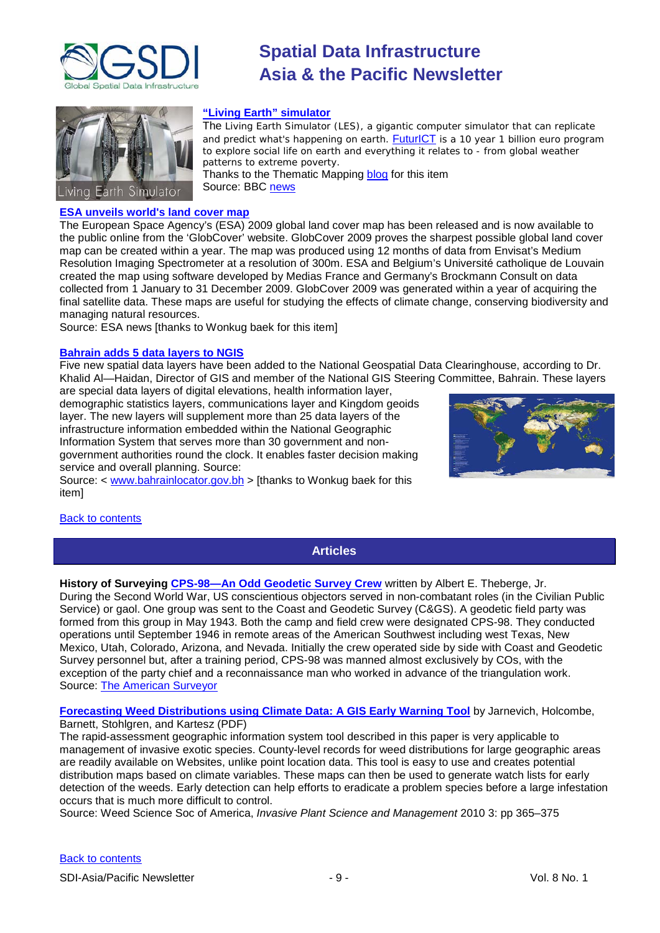



# **"Living Earth" simulator**

The Living Earth Simulator (LES), a gigantic computer simulator that can replicate and predict what's happening on earth. **[FuturICT](http://www.futurict.ethz.ch/FuturICT)** is a 10 year 1 billion euro program to explore social life on earth and *everything* it relates to - from global weather patterns to extreme poverty. Thanks to the Thematic Mapping [blog](http://blog.thematicmapping.org/2010/12/living-earth-simulator.html) for this item Source: BBC [news](http://www.bbc.co.uk/news/technology-12012082)

**[ESA unveils world's land cover map](http://www.esa.int/esaEO/SEM5N3TRJHG_index_0.html)**

The European Space Agency's (ESA) 2009 global land cover map has been released and is now available to the public online from the 'GlobCover' website. GlobCover 2009 proves the sharpest possible global land cover map can be created within a year. The map was produced using 12 months of data from Envisat's Medium Resolution Imaging Spectrometer at a resolution of 300m. ESA and Belgium's Université catholique de Louvain created the map using software developed by Medias France and Germany's Brockmann Consult on data collected from 1 January to 31 December 2009. GlobCover 2009 was generated within a year of acquiring the final satellite data. These maps are useful for studying the effects of climate change, conserving biodiversity and managing natural resources.

Source: ESA news [thanks to Wonkug baek for this item]

#### **[Bahrain adds 5 data layers to NGIS](http://www.bahrainlocator.gov.bh/gisnewsletter/2.html)**

Five new spatial data layers have been added to the National Geospatial Data Clearinghouse, according to Dr. Khalid Al—Haidan, Director of GIS and member of the National GIS Steering Committee, Bahrain. These layers are special data layers of digital elevations, health information layer,

demographic statistics layers, communications layer and Kingdom geoids layer. The new layers will supplement more than 25 data layers of the infrastructure information embedded within the National Geographic Information System that serves more than 30 government and nongovernment authorities round the clock. It enables faster decision making service and overall planning. Source:

Source: < [www.bahrainlocator.gov.bh](http://www.bahrainlocator.gov.bh/) > [thanks to Wonkug baek for this item]



## <span id="page-8-0"></span>[Back to contents](#page-0-0)

# **Articles**

**History of Surveying [CPS-98—An Odd Geodetic Survey Crew](http://www.amerisurv.com/content/view/8122/153/)** written by Albert E. Theberge, Jr. During the Second World War, US conscientious objectors served in non-combatant roles (in the Civilian Public Service) or gaol. One group was sent to the Coast and Geodetic Survey (C&GS). A geodetic field party was formed from this group in May 1943. Both the camp and field crew were designated CPS-98. They conducted operations until September 1946 in remote areas of the American Southwest including west Texas, New Mexico, Utah, Colorado, Arizona, and Nevada. Initially the crew operated side by side with Coast and Geodetic Survey personnel but, after a training period, CPS-98 was manned almost exclusively by COs, with the exception of the party chief and a reconnaissance man who worked in advance of the triangulation work. Source: [The American Surveyor](http://www.amerisurv.com/component/option,com_frontpage/Itemid,1/)

**[Forecasting Weed Distributions using Climate Data: A GIS Early Warning Tool](http://www2.allenpress.com/pdf/ipsm-03-04-365-375.pdf)** by Jarnevich, Holcombe, Barnett, Stohlgren, and Kartesz (PDF)

The rapid-assessment geographic information system tool described in this paper is very applicable to management of invasive exotic species. County-level records for weed distributions for large geographic areas are readily available on Websites, unlike point location data. This tool is easy to use and creates potential distribution maps based on climate variables. These maps can then be used to generate watch lists for early detection of the weeds. Early detection can help efforts to eradicate a problem species before a large infestation occurs that is much more difficult to control.

Source: Weed Science Soc of America, *Invasive Plant Science and Management* 2010 3: pp 365–375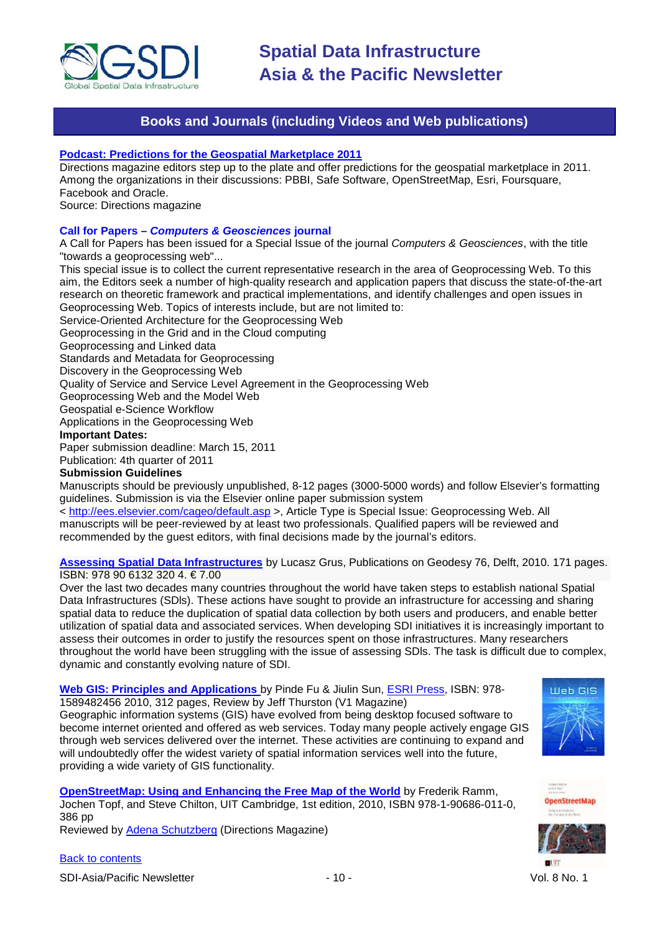

# **Books and Journals (including Videos and Web publications)**

## <span id="page-9-0"></span>**[Podcast: Predictions for the Geospatial Marketplace 2011](http://www.directionsmag.com/podcasts/podcast-predictions-for-the-geospatial-marketplace-2011/147722)**

Directions magazine editors step up to the plate and offer predictions for the geospatial marketplace in 2011. Among the organizations in their discussions: PBBI, Safe Software, OpenStreetMap, Esri, Foursquare, Facebook and Oracle.

Source: Directions magazine

### **Call for Papers –** *Computers & Geosciences* **journal**

A Call for Papers has been issued for a Special Issue of the journal *Computers & Geosciences*, with the title "towards a geoprocessing web"...

This special issue is to collect the current representative research in the area of Geoprocessing Web. To this aim, the Editors seek a number of high-quality research and application papers that discuss the state-of-the-art research on theoretic framework and practical implementations, and identify challenges and open issues in Geoprocessing Web. Topics of interests include, but are not limited to:

Service-Oriented Architecture for the Geoprocessing Web

Geoprocessing in the Grid and in the Cloud computing

Geoprocessing and Linked data

Standards and Metadata for Geoprocessing

Discovery in the Geoprocessing Web

Quality of Service and Service Level Agreement in the Geoprocessing Web

Geoprocessing Web and the Model Web

Geospatial e-Science Workflow

Applications in the Geoprocessing Web

### **Important Dates:**

Paper submission deadline: March 15, 2011

Publication: 4th quarter of 2011

# **Submission Guidelines**

Manuscripts should be previously unpublished, 8-12 pages (3000-5000 words) and follow Elsevier's formatting guidelines. Submission is via the Elsevier online paper submission system

<<http://ees.elsevier.com/cageo/default.asp> >, Article Type is Special Issue: Geoprocessing Web. All manuscripts will be peer-reviewed by at least two professionals. Qualified papers will be reviewed and recommended by the guest editors, with final decisions made by the journal's editors.

## **[Assessing Spatial Data Infrastructures](http://www.ncg.knaw.nl/eng/publications/Geodesy/76Grus.html)** by Lucasz Grus, Publications on Geodesy 76, Delft, 2010. 171 pages. ISBN: 978 90 6132 320 4. € 7.00

Over the last two decades many countries throughout the world have taken steps to establish national Spatial Data Infrastructures (SDls). These actions have sought to provide an infrastructure for accessing and sharing spatial data to reduce the duplication of spatial data collection by both users and producers, and enable better utilization of spatial data and associated services. When developing SDI initiatives it is increasingly important to assess their outcomes in order to justify the resources spent on those infrastructures. Many researchers throughout the world have been struggling with the issue of assessing SDls. The task is difficult due to complex, dynamic and constantly evolving nature of SDI.

### **[Web GIS: Principles and Applications](http://www.vector1media.com/articles/reviews/17393-web-gis-principles-and-applications)** by Pinde Fu & Jiulin Sun, [ESRI Press,](http://esripress.esri.com/display/index.cfm?fuseaction=display&websiteID=188&moduleID=0) ISBN: 978- 1589482456 2010, 312 pages, Review by Jeff Thurston (V1 Magazine)

Geographic information systems (GIS) have evolved from being desktop focused software to become internet oriented and offered as web services. Today many people actively engage GIS through web services delivered over the internet. These activities are continuing to expand and will undoubtedly offer the widest variety of spatial information services well into the future, providing a wide variety of GIS functionality.

**[OpenStreetMap: Using and Enhancing the Free Map of the World](http://openstreetmap.info/content/index.html)** by Frederik Ramm, Jochen Topf, and Steve Chilton, UIT Cambridge, 1st edition, 2010, ISBN 978-1-90686-011-0, 386 pp

Reviewed by [Adena Schutzberg](http://www.directionsmag.com/articles/book-review-openstreetmap-using-and-enhancing-the-free-map-of-the-worl/146742) (Directions Magazine)





SDI-Asia/Pacific Newsletter  $\sim$  10 - 10 - Vol. 8 No. 1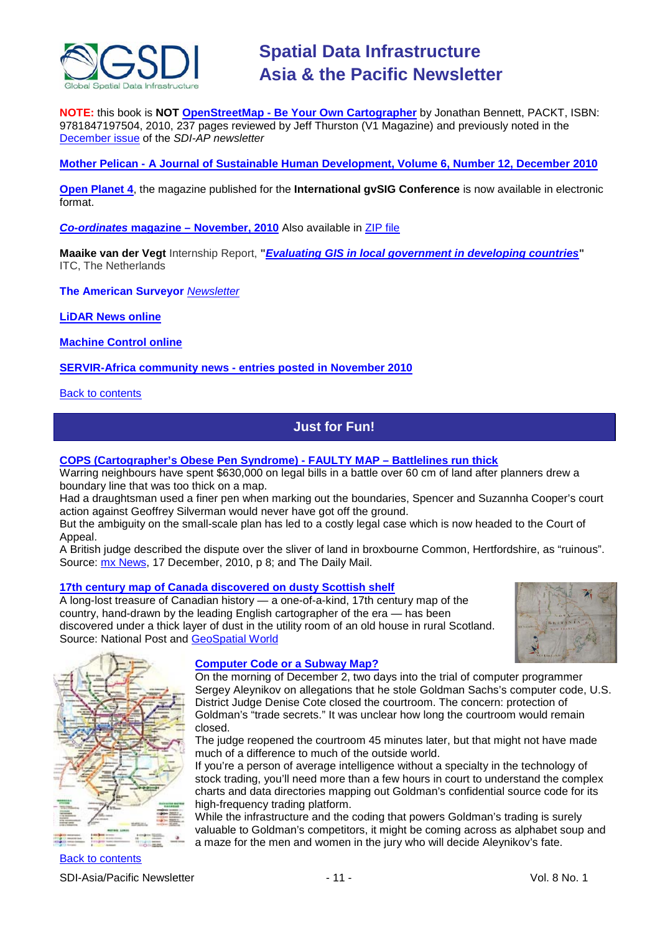

**NOTE:** this book is **NOT OpenStreetMap - [Be Your Own Cartographer](http://www.vector1media.com/articles/reviews/16978-openstreetmap-be-your-own-cartographer)** by Jonathan Bennett, PACKT, ISBN: 9781847197504, 2010, 237 pages reviewed by Jeff Thurston (V1 Magazine) and previously noted in the [December issue](http://portal.gsdi.org/files/?artifact_id=786) of the *SDI-AP newsletter*

**Mother Pelican - [A Journal of Sustainable Human Development, Volume 6, Number 12, December 2010](http://www.pelicanweb.org/solisustv06n12page1.html)**

**[Open Planet 4](http://jornadas.gvsig.org/descargas/magazine)**, the magazine published for the **International gvSIG Conference** is now available in electronic format.

*Co-ordinates* **magazine – [November, 2010](http://mycoordinates.org/pdf/nov10.pdf)** Also available in [ZIP file](http://mycoordinates.org/pdf/nov10.zip)

**Maaike van der Vegt** Internship Report, **"***[Evaluating GIS in local government in developing countries](http://www.geospatialworld.net/index.php?option=com_content&view=article&id=19403&Itemid=508)***"** ITC, The Netherlands

**The American Surveyor** *[Newsletter](http://www.amerisurv.com/newsletter/21DEC2010.htm)*

**[LiDAR News online](http://www.lidarnews.com/)**

**[Machine Control online](http://www.machinecontrolonline.com/)**

**[SERVIR-Africa community news -](http://www.servir.net/africa/index.php?option=com_mamblog&Itemid=54&task=show&action=all&id=0&ignorecount=1) entries posted in November 2010**

<span id="page-10-0"></span>**[Back to contents](#page-0-0)** 

# **Just for Fun!**

**[COPS \(Cartographer's Obese Pen Syndrome\) -](http://www.dailymail.co.uk/news/article-1339137/Neighbours-spend-400k-battle-60cm-land-Broxbourne-Common.html?ito=feeds-newsxml) FAULTY MAP – Battlelines run thick**

Warring neighbours have spent \$630,000 on legal bills in a battle over 60 cm of land after planners drew a boundary line that was too thick on a map.

Had a draughtsman used a finer pen when marking out the boundaries, Spencer and Suzannha Cooper's court action against Geoffrey Silverman would never have got off the ground.

But the ambiguity on the small-scale plan has led to a costly legal case which is now headed to the Court of Appeal.

A British judge described the dispute over the sliver of land in broxbourne Common, Hertfordshire, as "ruinous". Source: [mx News,](http://www.mxnet.com.au/) 17 December, 2010, p 8; and The Daily Mail.

### **[17th century map of Canada discovered on dusty Scottish shelf](http://www.nationalpost.com/news/17th+century+Canada+discovered+dusty+Scottish+shelf/3896616/story.html)**

A long-lost treasure of Canadian history — a one-of-a-kind, 17th century map of the country, hand-drawn by the leading English cartographer of the era — has been discovered under a thick layer of dust in the utility room of an old house in rural Scotland. Source: National Post and [GeoSpatial World](http://www.geospatialworld.net/index.php?option=com_content&view=article&id=19436%3A17th-century-map-of-canada-discovered&catid=48%3Aproduct-cartography-map-publishing&Itemid=1)





# **[Computer Code or a Subway Map?](http://blogs.wsj.com/law/2010/12/02/computer-code-or-a-subway-map-aleynikov-jury-presented-with-a-jumble/)**

On the morning of December 2, two days into the trial of computer programmer Sergey Aleynikov on allegations that he stole Goldman Sachs's computer code, U.S. District Judge Denise Cote closed the courtroom. The concern: protection of Goldman's "trade secrets." It was unclear how long the courtroom would remain closed.

The judge reopened the courtroom 45 minutes later, but that might not have made much of a difference to much of the outside world.

If you're a person of average intelligence without a specialty in the technology of stock trading, you'll need more than a few hours in court to understand the complex charts and data directories mapping out Goldman's confidential source code for its high-frequency trading platform.

While the infrastructure and the coding that powers Goldman's trading is surely valuable to Goldman's competitors, it might be coming across as alphabet soup and a maze for the men and women in the jury who will decide Aleynikov's fate.

[Back to contents](#page-0-0) SDI-Asia/Pacific Newsletter  $\overline{\phantom{a}}$  - 11 -  $\overline{\phantom{a}}$  Vol. 8 No. 1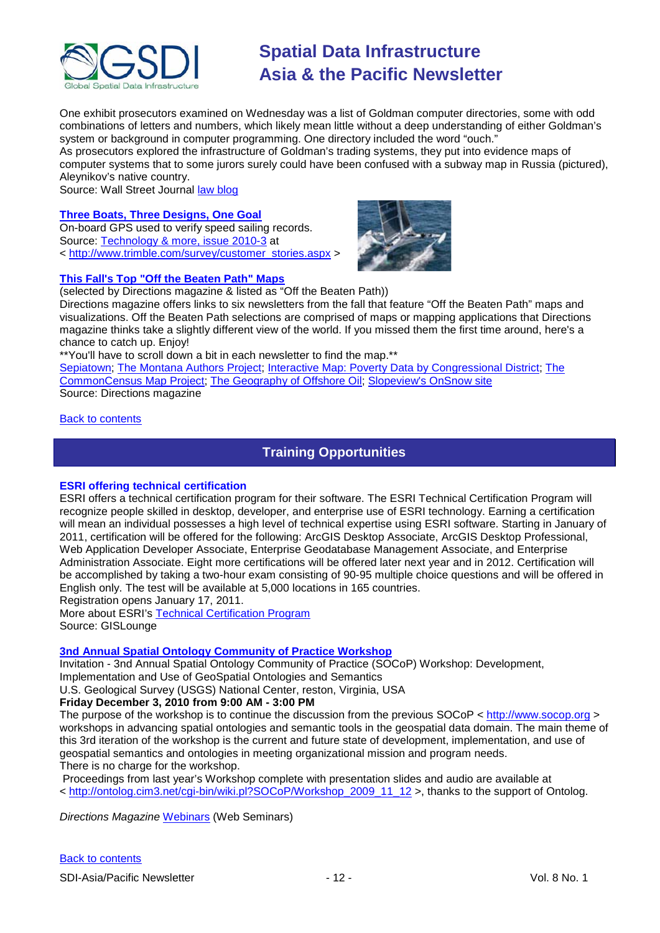

One exhibit prosecutors examined on Wednesday was a list of Goldman computer directories, some with odd combinations of letters and numbers, which likely mean little without a deep understanding of either Goldman's system or background in computer programming. One directory included the word "ouch."

As prosecutors explored the infrastructure of Goldman's trading systems, they put into evidence maps of computer systems that to some jurors surely could have been confused with a subway map in Russia (pictured), Aleynikov's native country.

Source: Wall Street Journal [law blog](http://blogs.wsj.com/law/)

# **[Three Boats, Three Designs, One Goal](http://trl.trimble.com/docushare/dsweb/Get/Document-517122/)**

On-board GPS used to verify speed sailing records. Source: [Technology & more, issue 2010-3](http://trl.trimble.com/docushare/dsweb/Get/Document-517100/TM16FINAL_092310.pdf) at < [http://www.trimble.com/survey/customer\\_stories.aspx](http://www.trimble.com/survey/customer_stories.aspx) >



# **This Fall's Top "Off the Beaten Path" Maps**

(selected by Directions magazine & listed as "Off the Beaten Path))

Directions magazine offers links to six newsletters from the fall that feature "Off the Beaten Path" maps and visualizations. Off the Beaten Path selections are comprised of maps or mapping applications that Directions magazine thinks take a slightly different view of the world. If you missed them the first time around, here's a chance to catch up. Enjoy!

\*\*You'll have to scroll down a bit in each newsletter to find the map.\*\*

[Sepiatown;](http://www.sepiatown.com/) [The Montana Authors Project;](http://www.missoulapubliclibrary.org/map/) [Interactive Map: Poverty Data by Congressional District;](http://halfinten.org/issues/articles/poverty-data-by-congressional-district/) The [CommonCensus Map Project;](http://commoncensus.org/index.php) [The Geography of Offshore Oil;](http://ngm.nationalgeographic.com/2010/10/gulf-oil-spill/gulf-map-interactive) [Slopeview's OnSnow site](http://www.slopeviews.com/onsnow-beta/) Source: Directions magazine

### <span id="page-11-0"></span>[Back to contents](#page-0-0)

# **Training Opportunities**

### **ESRI offering technical certification**

ESRI offers a technical certification program for their software. The ESRI Technical Certification Program will recognize people skilled in desktop, developer, and enterprise use of ESRI technology. Earning a certification will mean an individual possesses a high level of technical expertise using ESRI software. Starting in January of 2011, certification will be offered for the following: ArcGIS Desktop Associate, ArcGIS Desktop Professional, Web Application Developer Associate, Enterprise Geodatabase Management Associate, and Enterprise Administration Associate. Eight more certifications will be offered later next year and in 2012. Certification will be accomplished by taking a two-hour exam consisting of 90-95 multiple choice questions and will be offered in English only. The test will be available at 5,000 locations in 165 countries.

Registration opens January 17, 2011.

More about ESRI's [Technical Certification Program](http://training.esri.com/certification/) Source: GISLounge

# **[3nd Annual Spatial Ontology Community of Practice Workshop](http://www.fgdc.gov/fgdc-news/spatial-ontology-cop-workshop)**

Invitation - 3nd Annual Spatial Ontology Community of Practice (SOCoP) Workshop: Development,

Implementation and Use of GeoSpatial Ontologies and Semantics

U.S. Geological Survey (USGS) National Center, reston, Virginia, USA

# **Friday December 3, 2010 from 9:00 AM - 3:00 PM**

The purpose of the workshop is to continue the discussion from the previous SOCoP < [http://www.socop.org](http://www.socop.org/) > workshops in advancing spatial ontologies and semantic tools in the geospatial data domain. The main theme of this 3rd iteration of the workshop is the current and future state of development, implementation, and use of geospatial semantics and ontologies in meeting organizational mission and program needs.

There is no charge for the workshop.

Proceedings from last year's Workshop complete with presentation slides and audio are available at < [http://ontolog.cim3.net/cgi-bin/wiki.pl?SOCoP/Workshop\\_2009\\_11\\_12](http://ontolog.cim3.net/cgi-bin/wiki.pl?SOCoP/Workshop_2009_11_12) >, thanks to the support of Ontolog.

*Directions Magazine* [Webinars](http://www.directionsmag.com/webinars/) (Web Seminars)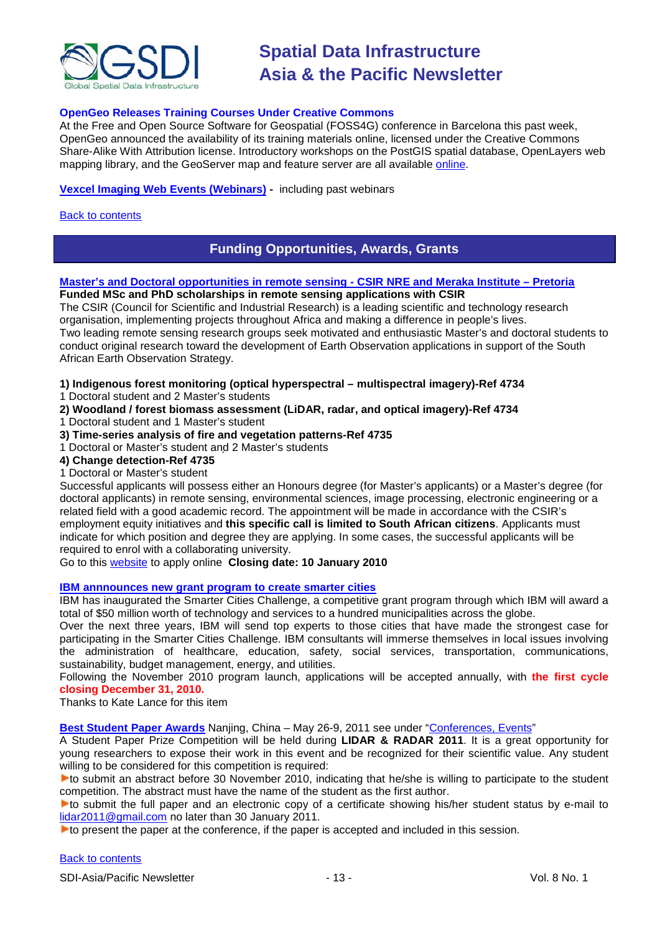

## **OpenGeo Releases Training Courses Under Creative Commons**

At the Free and Open Source Software for Geospatial (FOSS4G) conference in Barcelona this past week, OpenGeo announced the availability of its training materials online, licensed under the Creative Commons Share-Alike With Attribution license. Introductory workshops on the PostGIS spatial database, OpenLayers web mapping library, and the GeoServer map and feature server are all available [online.](http://www.workshops.opengeo.org/)

### **[Vexcel Imaging Web Events \(Webinars\)](http://www.microsoft.com/ultracam/en-us/WebEvents.aspx) -** including past webinars

### <span id="page-12-0"></span>[Back to contents](#page-0-0)

# **Funding Opportunities, Awards, Grants**

#### **[Master's and Doctoral opportunities in remote sensing -](http://www.csir.co.za/recruitment/NRE_Meraka_Nov.php) CSIR NRE and Meraka Institute – Pretoria Funded MSc and PhD scholarships in remote sensing applications with CSIR**

The CSIR (Council for Scientific and Industrial Research) is a leading scientific and technology research organisation, implementing projects throughout Africa and making a difference in people's lives. Two leading remote sensing research groups seek motivated and enthusiastic Master's and doctoral students to conduct original research toward the development of Earth Observation applications in support of the South African Earth Observation Strategy.

**1) Indigenous forest monitoring (optical hyperspectral – multispectral imagery)-Ref 4734**

- 1 Doctoral student and 2 Master's students
- **2) Woodland / forest biomass assessment (LiDAR, radar, and optical imagery)-Ref 4734**
- 1 Doctoral student and 1 Master's student
- **3) Time-series analysis of fire and vegetation patterns-Ref 4735**
- 1 Doctoral or Master's student and 2 Master's students

#### **4) Change detection-Ref 4735**

1 Doctoral or Master's student

Successful applicants will possess either an Honours degree (for Master's applicants) or a Master's degree (for doctoral applicants) in remote sensing, environmental sciences, image processing, electronic engineering or a related field with a good academic record. The appointment will be made in accordance with the CSIR's employment equity initiatives and **this specific call is limited to South African citizens**. Applicants must indicate for which position and degree they are applying. In some cases, the successful applicants will be required to enrol with a collaborating university.

Go to this [website](http://www.csir.co.za/apply.php) to apply online **Closing date: 10 January 2010**

### **[IBM annnounces new grant program to create smarter cities](http://www.smartercitieschallenge.org/)**

IBM has inaugurated the Smarter Cities Challenge, a competitive grant program through which IBM will award a total of \$50 million worth of technology and services to a hundred municipalities across the globe.

Over the next three years, IBM will send top experts to those cities that have made the strongest case for participating in the Smarter Cities Challenge. IBM consultants will immerse themselves in local issues involving the administration of healthcare, education, safety, social services, transportation, communications, sustainability, budget management, energy, and utilities.

Following the November 2010 program launch, applications will be accepted annually, with **the first cycle closing December 31, 2010.**

Thanks to Kate Lance for this item

**Best Student Paper Awards** Nanjing, China – May 26-9, 2011 see under "Conferences, Events"

A Student Paper Prize Competition will be held during **LIDAR & RADAR 2011**. It is a great opportunity for young researchers to expose their work in this event and be recognized for their scientific value. Any student willing to be considered for this competition is required:

to submit an abstract before 30 November 2010, indicating that he/she is willing to participate to the student competition. The abstract must have the name of the student as the first author.

to submit the full paper and an electronic copy of a certificate showing his/her student status by e-mail to [lidar2011@gmail.com](mailto:lidar2011@gmail.com) no later than 30 January 2011.

**to present the paper at the conference, if the paper is accepted and included in this session.**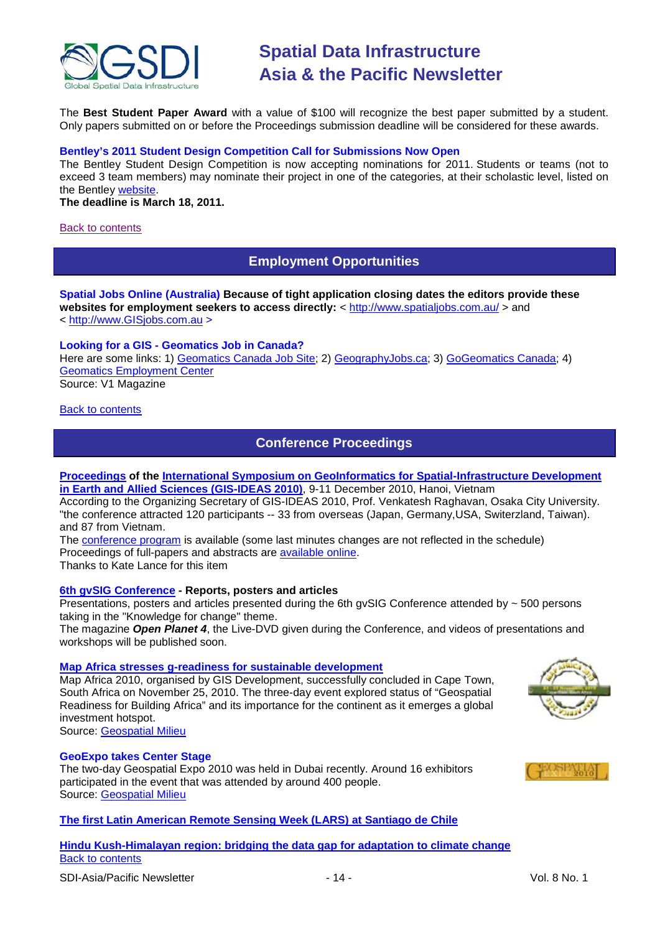

The **Best Student Paper Award** with a value of \$100 will recognize the best paper submitted by a student. Only papers submitted on or before the Proceedings submission deadline will be considered for these awards.

## **Bentley's 2011 Student Design Competition Call for Submissions Now Open**

The Bentley Student Design Competition is now accepting nominations for 2011. Students or teams (not to exceed 3 team members) may nominate their project in one of the categories, at their scholastic level, listed on the Bentley [website.](http://www.bentley.com/en-US/Corporate/News/Quarter+3/2011+Submissions.htm?BI=homepage&v=news+submissions)

**The deadline is March 18, 2011.**

#### <span id="page-13-0"></span>[Back to contents](#page-0-0)

# **Employment Opportunities**

**Spatial Jobs Online (Australia) Because of tight application closing dates the editors provide these**  websites for employment seekers to access directly: <<http://www.spatialjobs.com.au/> > and < [http://www.GISjobs.com.au](http://www.gisjobs.com.au/) >

## **Looking for a GIS - Geomatics Job in Canada?**

Here are some links: 1) [Geomatics Canada Job Site;](http://geomaticscanada.com/jobs.cfm) 2) [GeographyJobs.ca;](http://www.geographyjobs.ca/) 3) [GoGeomatics Canada;](http://canada.gogeomatics.net/frmHome.aspx) 4) [Geomatics Employment Center](http://gisjobs.ca/) Source: V1 Magazine

<span id="page-13-1"></span>[Back to contents](#page-0-0)

# **Conference Proceedings**

# **[Proceedings](http://wgrass.media.osaka-cu.ac.jp/gisideas10/papers.php?first_letter=all) of the International Symposium on GeoInformatics for Spatial-Infrastructure Development [in Earth and Allied Sciences \(GIS-IDEAS 2010\)](http://wgrass.media.osaka-cu.ac.jp/gisideas10/)**, 9-11 December 2010, Hanoi, Vietnam

According to the Organizing Secretary of GIS-IDEAS 2010, Prof. Venkatesh Raghavan, Osaka City University. "the conference attracted 120 participants -- 33 from overseas (Japan, Germany,USA, Switerzland, Taiwan). and 87 from Vietnam.

The [conference program](http://wgrass.media.osaka-cu.ac.jp/gisideas10/schedule.php) is available (some last minutes changes are not reflected in the schedule) Proceedings of full-papers and abstracts are [available online.](http://wgrass.media.osaka-cu.ac.jp/gisideas10/papers.php?first_letter=all) Thanks to Kate Lance for this item

# **[6th gvSIG Conference](http://jornadas.gvsig.org/comunicaciones/reports) - Reports, posters and articles**

Presentations, posters and articles presented during the 6th gvSIG Conference attended by  $\sim$  500 persons taking in the "Knowledge for change" theme.

The magazine *Open Planet 4*, the Live-DVD given during the Conference, and videos of presentations and workshops will be published soon.

### **[Map Africa stresses g-readiness for sustainable development](http://geospatialmilieu.org/ezine/maf2010.asp)**

Map Africa 2010, organised by GIS Development, successfully concluded in Cape Town, South Africa on November 25, 2010. The three-day event explored status of "Geospatial Readiness for Building Africa" and its importance for the continent as it emerges a global investment hotspot.



Source: [Geospatial Milieu](http://geospatialmilieu.org/)

### **GeoExpo takes Center Stage**

The two-day Geospatial Expo 2010 was held in Dubai recently. Around 16 exhibitors participated in the event that was attended by around 400 people. Source: [Geospatial Milieu](http://geospatialmilieu.org/)

# **[The first Latin American Remote Sensing Week \(LARS\) at Santiago de Chile](http://geospatialmilieu.org/ezine/lars_event.asp)**

## [Back to contents](#page-0-0) **[Hindu Kush-Himalayan region: bridging the data gap for adaptation to climate change](http://geoportal.icimod.org/symposium2010/)**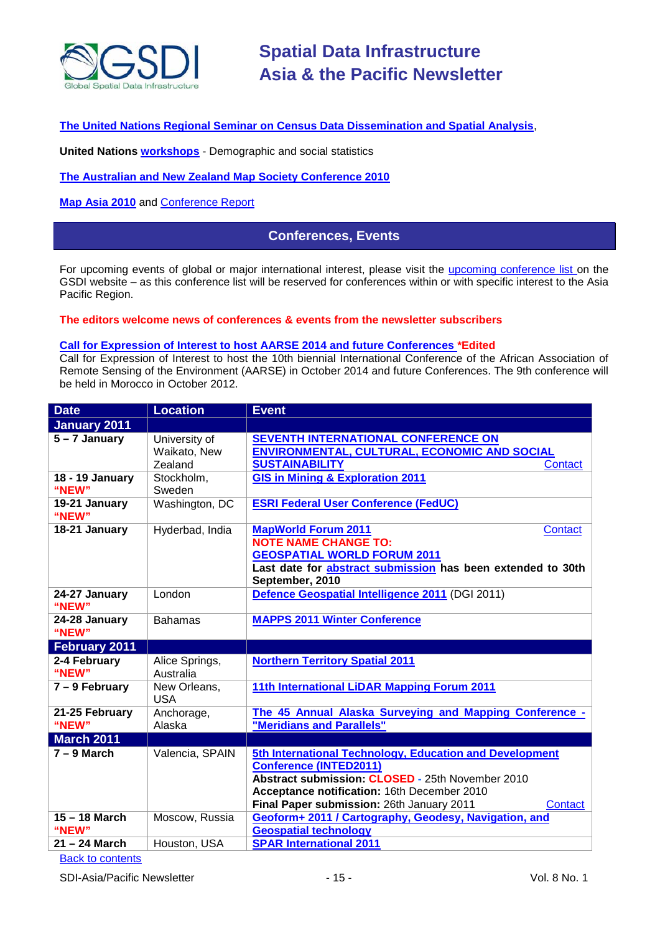

## **[The United Nations Regional Seminar on Census Data Dissemination and Spatial Analysis](http://unstats.un.org/unsd/demographic/meetings/wshops/Kenya_14Sept2010/default.htm)**,

**United Nations [workshops](http://unstats.un.org/unsd/demographic/meetings/wshops/default.htm)** - Demographic and social statistics

**[The Australian and New Zealand Map Society Conference 2010](http://blogs.slq.qld.gov.au/jol/2010/05/14/the-australian-and-new-zealand-map-society-conference-2010/)**

<span id="page-14-0"></span>**[Map Asia 2010](http://mapasia.org/2010/proceeding/index.htm)** and **Conference Report** 

# **Conferences, Events**

For upcoming events of global or major international interest, please visit the [upcoming conference list o](http://gsdi.org/events/upcnf.asp)n the GSDI website – as this conference list will be reserved for conferences within or with specific interest to the Asia Pacific Region.

#### **The editors welcome news of conferences & events from the newsletter subscribers**

### **Call for Expression of Interest to host AARSE 2014 and future Conferences \*Edited**

Call for Expression of Interest to host the 10th biennial International Conference of the African Association of Remote Sensing of the Environment (AARSE) in October 2014 and future Conferences. The 9th conference will be held in Morocco in October 2012.

| <b>Date</b>              | <b>Location</b>                          | <b>Event</b>                                                                                                                                                                                                                                        |
|--------------------------|------------------------------------------|-----------------------------------------------------------------------------------------------------------------------------------------------------------------------------------------------------------------------------------------------------|
| <b>January 2011</b>      |                                          |                                                                                                                                                                                                                                                     |
| $5 - 7$ January          | University of<br>Waikato, New<br>Zealand | <b>SEVENTH INTERNATIONAL CONFERENCE ON</b><br><b>ENVIRONMENTAL, CULTURAL, ECONOMIC AND SOCIAL</b><br><b>SUSTAINABILITY</b><br><b>Contact</b>                                                                                                        |
| 18 - 19 January<br>"NEW" | Stockholm,<br>Sweden                     | <b>GIS in Mining &amp; Exploration 2011</b>                                                                                                                                                                                                         |
| 19-21 January<br>"NEW"   | Washington, DC                           | <b>ESRI Federal User Conference (FedUC)</b>                                                                                                                                                                                                         |
| 18-21 January            | Hyderbad, India                          | <b>MapWorld Forum 2011</b><br>Contact<br><b>NOTE NAME CHANGE TO:</b><br><b>GEOSPATIAL WORLD FORUM 2011</b><br>Last date for <b>abstract submission</b> has been extended to 30th<br>September, 2010                                                 |
| 24-27 January<br>"NEW"   | London                                   | Defence Geospatial Intelligence 2011 (DGI 2011)                                                                                                                                                                                                     |
| 24-28 January<br>"NEW"   | <b>Bahamas</b>                           | <b>MAPPS 2011 Winter Conference</b>                                                                                                                                                                                                                 |
| <b>February 2011</b>     |                                          |                                                                                                                                                                                                                                                     |
| 2-4 February<br>"NEW"    | Alice Springs,<br>Australia              | <b>Northern Territory Spatial 2011</b>                                                                                                                                                                                                              |
| 7 - 9 February           | New Orleans,<br><b>USA</b>               | 11th International LiDAR Mapping Forum 2011                                                                                                                                                                                                         |
| 21-25 February<br>"NEW"  | Anchorage,<br>Alaska                     | The 45 Annual Alaska Surveying and Mapping Conference -<br>"Meridians and Parallels"                                                                                                                                                                |
| <b>March 2011</b>        |                                          |                                                                                                                                                                                                                                                     |
| $7 - 9$ March            | Valencia, SPAIN                          | 5th International Technology, Education and Development<br><b>Conference (INTED2011)</b><br>Abstract submission: CLOSED - 25th November 2010<br>Acceptance notification: 16th December 2010<br>Final Paper submission: 26th January 2011<br>Contact |
| 15 - 18 March<br>"NEW"   | Moscow, Russia                           | Geoform+ 2011 / Cartography, Geodesy, Navigation, and<br><b>Geospatial technology</b>                                                                                                                                                               |
| $21 - 24$ March          | Houston, USA                             | <b>SPAR International 2011</b>                                                                                                                                                                                                                      |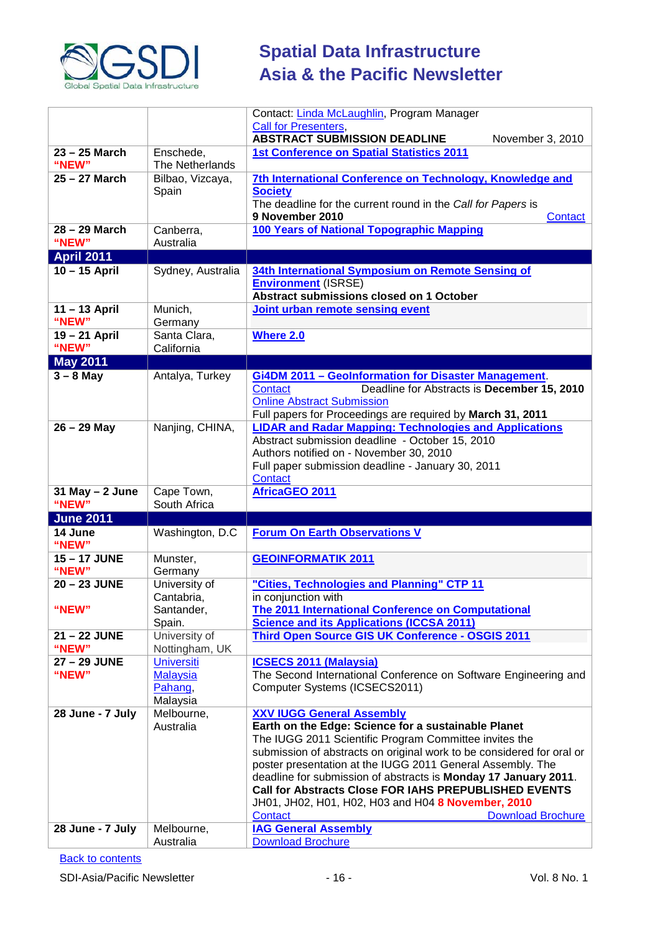

|                              |                                 | Contact: Linda McLaughlin, Program Manager<br><b>Call for Presenters</b> ,                                                                                        |
|------------------------------|---------------------------------|-------------------------------------------------------------------------------------------------------------------------------------------------------------------|
|                              |                                 | <b>ABSTRACT SUBMISSION DEADLINE</b><br>November 3, 2010                                                                                                           |
| 23 – 25 March<br>"NEW"       | Enschede,<br>The Netherlands    | <b>1st Conference on Spatial Statistics 2011</b>                                                                                                                  |
| 25 - 27 March                | Bilbao, Vizcaya,                | 7th International Conference on Technology, Knowledge and                                                                                                         |
|                              | Spain                           | <b>Society</b><br>The deadline for the current round in the Call for Papers is<br>9 November 2010<br>Contact                                                      |
| 28 - 29 March                | Canberra,                       | 100 Years of National Topographic Mapping                                                                                                                         |
| "NEW"                        | Australia                       |                                                                                                                                                                   |
| <b>April 2011</b>            |                                 |                                                                                                                                                                   |
| $10 - 15$ April              | Sydney, Australia               | 34th International Symposium on Remote Sensing of<br><b>Environment (ISRSE)</b><br>Abstract submissions closed on 1 October                                       |
| 11-13 April<br>"NEW"         | Munich,<br>Germany              | Joint urban remote sensing event                                                                                                                                  |
| 19 - 21 April<br>"NEW"       | Santa Clara,<br>California      | <b>Where 2.0</b>                                                                                                                                                  |
| <b>May 2011</b>              |                                 |                                                                                                                                                                   |
| $3 - 8$ May                  | Antalya, Turkey                 | <b>Gi4DM 2011 - Geolnformation for Disaster Management.</b>                                                                                                       |
|                              |                                 | Contact<br>Deadline for Abstracts is December 15, 2010<br><b>Online Abstract Submission</b><br>Full papers for Proceedings are required by March 31, 2011         |
| $26 - 29$ May                | Nanjing, CHINA,                 | <b>LIDAR and Radar Mapping: Technologies and Applications</b>                                                                                                     |
|                              |                                 | Abstract submission deadline - October 15, 2010<br>Authors notified on - November 30, 2010<br>Full paper submission deadline - January 30, 2011<br><b>Contact</b> |
|                              |                                 |                                                                                                                                                                   |
| $31$ May $- 2$ June<br>"NEW" | Cape Town,<br>South Africa      | <b>AfricaGEO 2011</b>                                                                                                                                             |
| <b>June 2011</b>             |                                 |                                                                                                                                                                   |
| 14 June<br>"NEW"             | Washington, D.C.                | <b>Forum On Earth Observations V</b>                                                                                                                              |
| 15-17 JUNE<br>"NEW"          | Munster,<br>Germany             | <b>GEOINFORMATIK 2011</b>                                                                                                                                         |
| 20 - 23 JUNE                 | University of                   | "Cities, Technologies and Planning" CTP 11                                                                                                                        |
|                              | Cantabria,                      | in conjunction with                                                                                                                                               |
| "NEW"                        | Santander,                      | <b>The 2011 International Conference on Computational</b>                                                                                                         |
| 21-22 JUNE                   | Spain.                          | <b>Science and its Applications (ICCSA 2011)</b>                                                                                                                  |
| "NEW"                        | University of<br>Nottingham, UK | Third Open Source GIS UK Conference - OSGIS 2011                                                                                                                  |
| 27 - 29 JUNE                 | <b>Universiti</b>               | <b>ICSECS 2011 (Malaysia)</b>                                                                                                                                     |
| "NEW"                        | <b>Malaysia</b>                 | The Second International Conference on Software Engineering and                                                                                                   |
|                              | Pahang,                         | Computer Systems (ICSECS2011)                                                                                                                                     |
| 28 June - 7 July             | Malaysia<br>Melbourne,          | <b>XXV IUGG General Assembly</b>                                                                                                                                  |
|                              | Australia                       | Earth on the Edge: Science for a sustainable Planet                                                                                                               |
|                              |                                 | The IUGG 2011 Scientific Program Committee invites the                                                                                                            |
|                              |                                 | submission of abstracts on original work to be considered for oral or                                                                                             |
|                              |                                 | poster presentation at the IUGG 2011 General Assembly. The                                                                                                        |
|                              |                                 | deadline for submission of abstracts is Monday 17 January 2011.<br><b>Call for Abstracts Close FOR IAHS PREPUBLISHED EVENTS</b>                                   |
|                              |                                 | JH01, JH02, H01, H02, H03 and H04 8 November, 2010                                                                                                                |
|                              |                                 | <b>Download Brochure</b><br><b>Contact</b>                                                                                                                        |
| 28 June - 7 July             | Melbourne,<br>Australia         | <b>IAG General Assembly</b><br><b>Download Brochure</b>                                                                                                           |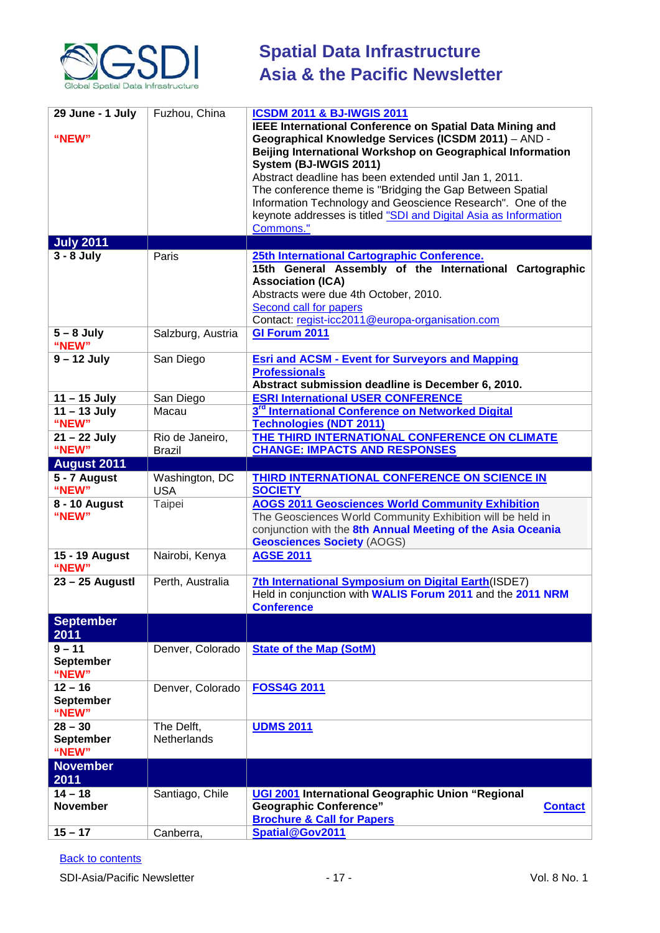

| 29 June - 1 July<br>"NEW"<br><b>July 2011</b> | Fuzhou, China                    | <b>ICSDM 2011 &amp; BJ-IWGIS 2011</b><br><b>IEEE International Conference on Spatial Data Mining and</b><br>Geographical Knowledge Services (ICSDM 2011) - AND -<br>Beijing International Workshop on Geographical Information<br>System (BJ-IWGIS 2011)<br>Abstract deadline has been extended until Jan 1, 2011.<br>The conference theme is "Bridging the Gap Between Spatial<br>Information Technology and Geoscience Research". One of the<br>keynote addresses is titled "SDI and Digital Asia as Information<br>Commons." |
|-----------------------------------------------|----------------------------------|---------------------------------------------------------------------------------------------------------------------------------------------------------------------------------------------------------------------------------------------------------------------------------------------------------------------------------------------------------------------------------------------------------------------------------------------------------------------------------------------------------------------------------|
| $3 - 8$ July                                  | Paris                            | 25th International Cartographic Conference.<br>15th General Assembly of the International Cartographic<br><b>Association (ICA)</b><br>Abstracts were due 4th October, 2010.<br>Second call for papers                                                                                                                                                                                                                                                                                                                           |
| $5 - 8$ July<br>"NEW"                         | Salzburg, Austria                | Contact: regist-icc2011@europa-organisation.com<br>GI Forum 2011                                                                                                                                                                                                                                                                                                                                                                                                                                                                |
| $9 - 12$ July                                 | San Diego                        | <b>Esri and ACSM - Event for Surveyors and Mapping</b><br><b>Professionals</b><br>Abstract submission deadline is December 6, 2010.                                                                                                                                                                                                                                                                                                                                                                                             |
| $11 - 15$ July                                | San Diego                        | <b>ESRI International USER CONFERENCE</b>                                                                                                                                                                                                                                                                                                                                                                                                                                                                                       |
| $11 - 13$ July<br>"NEW"                       | Macau                            | 3 <sup>rd</sup> International Conference on Networked Digital<br><b>Technologies (NDT 2011)</b>                                                                                                                                                                                                                                                                                                                                                                                                                                 |
| $21 - 22$ July<br>"NEW"                       | Rio de Janeiro,<br><b>Brazil</b> | THE THIRD INTERNATIONAL CONFERENCE ON CLIMATE<br><b>CHANGE: IMPACTS AND RESPONSES</b>                                                                                                                                                                                                                                                                                                                                                                                                                                           |
| <b>August 2011</b>                            |                                  |                                                                                                                                                                                                                                                                                                                                                                                                                                                                                                                                 |
| 5 - 7 August<br>"NEW"                         | Washington, DC<br><b>USA</b>     | <b>THIRD INTERNATIONAL CONFERENCE ON SCIENCE IN</b><br><b>SOCIETY</b>                                                                                                                                                                                                                                                                                                                                                                                                                                                           |
| 8 - 10 August<br>"NEW"                        | Taipei                           | <b>AOGS 2011 Geosciences World Community Exhibition</b><br>The Geosciences World Community Exhibition will be held in<br>conjunction with the 8th Annual Meeting of the Asia Oceania<br><b>Geosciences Society (AOGS)</b>                                                                                                                                                                                                                                                                                                       |
| 15 - 19 August<br>"NEW"                       | Nairobi, Kenya                   | <b>AGSE 2011</b>                                                                                                                                                                                                                                                                                                                                                                                                                                                                                                                |
| $23 - 25$ Augustl                             | Perth, Australia                 | 7th International Symposium on Digital Earth(ISDE7)<br>Held in conjunction with WALIS Forum 2011 and the 2011 NRM<br><b>Conference</b>                                                                                                                                                                                                                                                                                                                                                                                          |
| <b>September</b><br>2011                      |                                  |                                                                                                                                                                                                                                                                                                                                                                                                                                                                                                                                 |
| $9 - 11$<br><b>September</b><br>"NEW"         | Denver, Colorado                 | <b>State of the Map (SotM)</b>                                                                                                                                                                                                                                                                                                                                                                                                                                                                                                  |
| $12 - 16$<br><b>September</b><br>"NEW"        | Denver, Colorado                 | <b>FOSS4G 2011</b>                                                                                                                                                                                                                                                                                                                                                                                                                                                                                                              |
| $28 - 30$<br><b>September</b><br>"NEW"        | The Delft,<br>Netherlands        | <b>UDMS 2011</b>                                                                                                                                                                                                                                                                                                                                                                                                                                                                                                                |
| <b>November</b><br>2011                       |                                  |                                                                                                                                                                                                                                                                                                                                                                                                                                                                                                                                 |
| $14 - 18$<br><b>November</b>                  | Santiago, Chile                  | UGI 2001 International Geographic Union "Regional<br><b>Geographic Conference"</b><br><b>Contact</b><br><b>Brochure &amp; Call for Papers</b>                                                                                                                                                                                                                                                                                                                                                                                   |
| $15 - 17$                                     | Canberra,                        | Spatial@Gov2011                                                                                                                                                                                                                                                                                                                                                                                                                                                                                                                 |